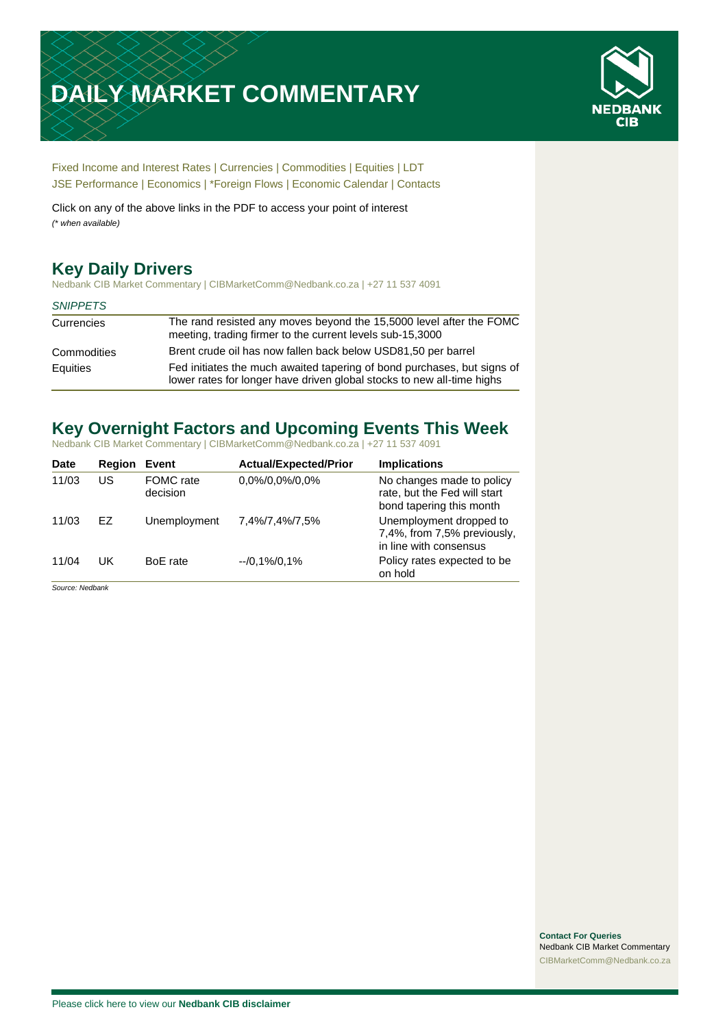# **DAILY MARKET COMMENTARY**



[Fixed Income and Interest Rates](#page-1-0) | [Currencies](#page-2-0) | [Commodities](#page-3-0) [| Equities](#page-4-0) | [LDT](#page-5-0) [JSE Performance](#page-6-0) [| Economics](#page-7-0) | \*Foreign Flows | [Economic Calendar](#page-7-0) | [Contacts](#page-8-0)

Click on any of the above links in the PDF to access your point of interest *(\* when available)*

## **Key Daily Drivers**

Nedbank CIB Market Commentary | CIBMarketComm@Nedbank.co.za | +27 11 537 4091

#### *SNIPPETS*

| Currencies  | The rand resisted any moves beyond the 15,5000 level after the FOMC<br>meeting, trading firmer to the current levels sub-15,3000                  |
|-------------|---------------------------------------------------------------------------------------------------------------------------------------------------|
| Commodities | Brent crude oil has now fallen back below USD81,50 per barrel                                                                                     |
| Equities    | Fed initiates the much awaited tapering of bond purchases, but signs of<br>lower rates for longer have driven global stocks to new all-time highs |

## **Key Overnight Factors and Upcoming Events This Week**

Nedbank CIB Market Commentary | CIBMarketComm@Nedbank.co.za | +27 11 537 4091

| <b>Date</b> | <b>Region</b> | Event                 | <b>Actual/Expected/Prior</b> | <b>Implications</b>                                                                   |
|-------------|---------------|-----------------------|------------------------------|---------------------------------------------------------------------------------------|
| 11/03       | US            | FOMC rate<br>decision | 0,0%/0,0%/0,0%               | No changes made to policy<br>rate, but the Fed will start<br>bond tapering this month |
| 11/03       | FZ.           | Unemployment          | 7,4%/7,4%/7,5%               | Unemployment dropped to<br>7,4%, from 7,5% previously,<br>in line with consensus      |
| 11/04       | UK            | BoE rate              | $-10,1\%/0,1\%$              | Policy rates expected to be<br>on hold                                                |

*Source: Nedbank*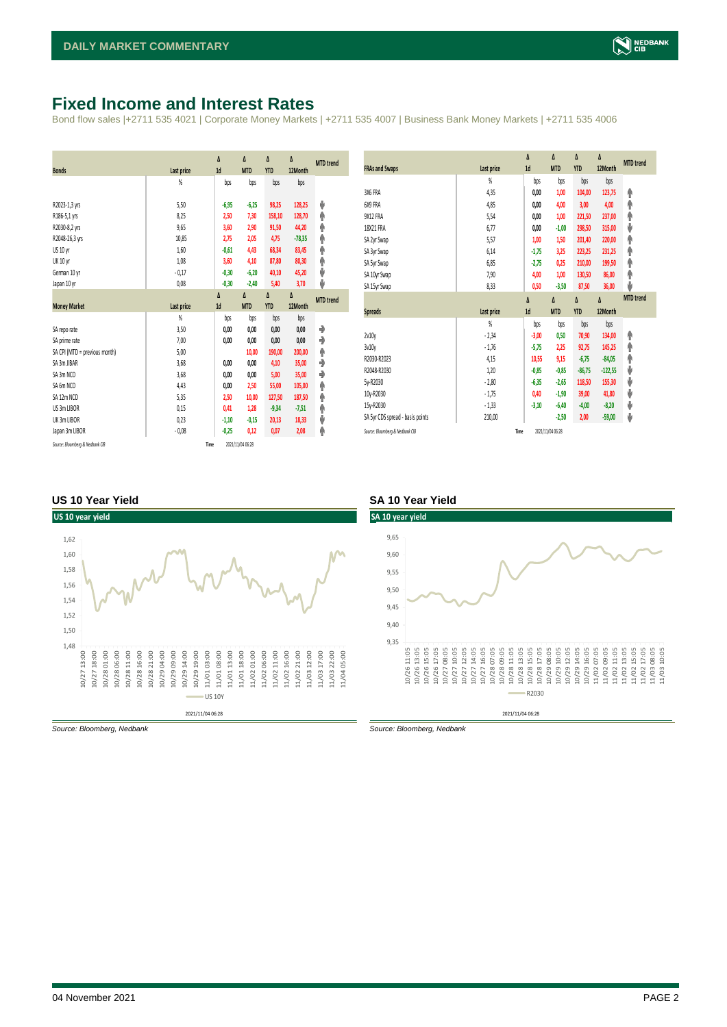#### <span id="page-1-0"></span>**Fixed Income and Interest Rates**

Bond flow sales |+2711 535 4021 | Corporate Money Markets | +2711 535 4007 | Business Bank Money Markets | +2711 535 4006

| <b>Bonds</b>                  | Last price     | Δ<br>1d | Δ<br><b>MTD</b> | Δ<br><b>YTD</b> | Δ<br>12Month | <b>MTD</b> trend |
|-------------------------------|----------------|---------|-----------------|-----------------|--------------|------------------|
|                               | %              | bps     | bps             | bps             | bps          |                  |
| R2023-1,3 yrs                 | 5.50           | $-6,95$ | $-6,25$         | 98,25           | 128,25       | ψ                |
| R186-5,1 yrs                  | 8,25           | 2,50    | 7,30            | 158,10          | 128,70       | ۸                |
| R2030-8,2 yrs                 | 9,65           | 3,60    | 2,90            | 91,50           | 44,20        | φ                |
| R2048-26,3 yrs                | 10,85          | 2,75    | 2,05            | 4,75            | $-78,35$     | φ                |
| <b>US 10 vr</b>               | 1,60           | $-0,61$ | 4,43            | 68,34           | 83,45        | φ                |
| <b>UK 10 yr</b>               | 1,08           | 3,60    | 4,10            | 87,80           | 80,30        | ۸                |
| German 10 yr                  | $-0,17$        | $-0,30$ | $-6,20$         | 40,10           | 45,20        | ψ                |
| Japan 10 yr                   | 0,08           | $-0,30$ | $-2,40$         | 5,40            | 3,70         | J                |
|                               |                | Δ       | Δ               | Δ               | Δ            | <b>MTD</b> trend |
| <b>Money Market</b>           |                |         |                 |                 |              |                  |
|                               | Last price     | 1d      | <b>MTD</b>      | <b>YTD</b>      | 12Month      |                  |
|                               | $\frac{9}{20}$ | bps     | bps             | bps             | bps          |                  |
| SA repo rate                  | 3,50           | 0,00    | 0,00            | 0,00            | 0,00         | ۰                |
| SA prime rate                 | 7,00           | 0,00    | 0,00            | 0,00            | 0,00         | ♦                |
| SA CPI (MTD = previous month) | 5,00           |         | 10,00           | 190,00          | 200,00       | ۸                |
| SA 3m JIBAR                   | 3,68           | 0.00    | 0.00            | 4,10            | 35,00        | ٠                |
| SA 3m NCD                     | 3,68           | 0,00    | 0,00            | 5,00            | 35,00        | ٠                |
| SA 6m NCD                     | 4,43           | 0,00    | 2,50            | 55,00           | 105,00       | ۸                |
| SA 12m NCD                    | 5,35           | 2,50    | 10,00           | 127,50          | 187,50       | ۸                |
| US 3m LIBOR                   | 0,15           | 0,41    | 1,28            | $-9,34$         | $-7,51$      | φ                |
| UK 3m LIBOR                   | 0,23           | $-1,10$ | $-0.15$         | 20,13           | 18,33        | ψ                |
| Japan 3m LIBOR                | $-0.08$        | $-0,25$ | 0,12            | 0,07            | 2,08         | φ                |

| <b>FRAs and Swaps</b>            | Last price | Δ<br>1d | Δ<br><b>MTD</b> | Δ<br><b>YTD</b> | Δ<br>12Month | <b>MTD</b> trend |
|----------------------------------|------------|---------|-----------------|-----------------|--------------|------------------|
|                                  | %          | bps     | bps             | bps             | bps          |                  |
| 3X6 FRA                          | 4,35       | 0,00    | 1,00            | 104,00          | 123,75       | ۸                |
| 6X9 FRA                          | 4.85       | 0,00    | 4,00            | 3,00            | 4,00         | ۸                |
| 9X12 FRA                         | 5,54       | 0,00    | 1,00            | 221,50          | 237,00       | ۸                |
| 18X21 FRA                        | 6,77       | 0,00    | $-1,00$         | 298,50          | 315,00       | ψ                |
| SA 2yr Swap                      | 5,57       | 1,00    | 1,50            | 201,40          | 220,00       | ۸                |
| SA 3yr Swap                      | 6,14       | $-1,75$ | 3,25            | 223,25          | 231,25       | φ                |
| SA 5yr Swap                      | 6,85       | $-2,75$ | 0,25            | 210,00          | 199,50       | ۸                |
| SA 10yr Swap                     | 7,90       | 4,00    | 1,00            | 130,50          | 86,00        | φ                |
| SA 15yr Swap                     | 8,33       | 0,50    | $-3,50$         | 87,50           | 36,00        | J                |
|                                  |            |         |                 |                 |              |                  |
|                                  |            | Δ       | Δ               | Δ               | Δ            | <b>MTD</b> trend |
| <b>Spreads</b>                   | Last price | 1d      | <b>MTD</b>      | <b>YTD</b>      | 12Month      |                  |
|                                  | %          | bps     | bps             | bps             | bps          |                  |
| 2v10v                            | $-2,34$    | $-3,00$ | 0,50            | 70,90           | 134,00       | ۸                |
| 3v10y                            | $-1,76$    | $-5,75$ | 2,25            | 92,75           | 145,25       | ۸                |
| R2030-R2023                      | 4,15       | 10,55   | 9,15            | $-6,75$         | $-84,05$     | φ                |
| R2048-R2030                      | 1,20       | $-0,85$ | $-0,85$         | $-86,75$        | $-122,55$    | ψ                |
| 5y-R2030                         | $-2,80$    | $-6,35$ | $-2,65$         | 118,50          | 155,30       | ψ                |
| 10y-R2030                        | $-1,75$    | 0,40    | $-1,90$         | 39,00           | 41,80        | ψ                |
| 15y-R2030                        | $-1,33$    | $-3,10$ | $-6,40$         | $-4,00$         | $-8,20$      | ψ                |
| SA 5yr CDS spread - basis points | 210,00     |         | $-2,50$         | 2,00            | $-59,00$     | ψ                |

#### **US 10 Year Yield SA 10 Year Yield**



*Source: Bloomberg, Nedbank Source: Bloomberg, Nedbank*

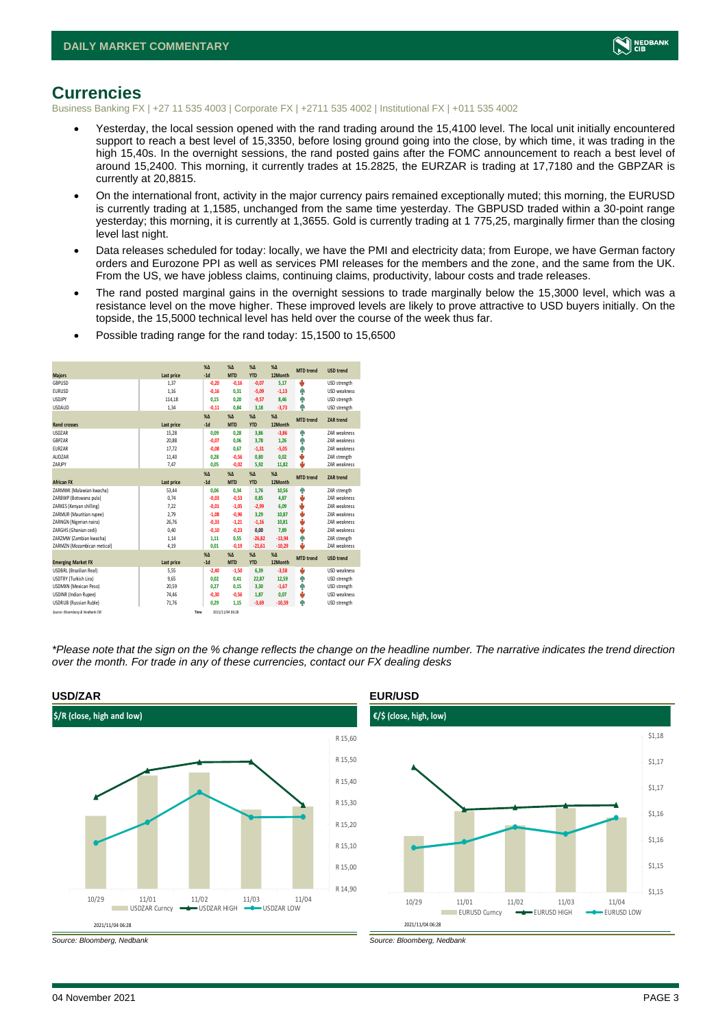

#### <span id="page-2-0"></span>**Currencies**

Business Banking FX | +27 11 535 4003 | Corporate FX | +2711 535 4002 | Institutional FX | +011 535 4002

- Yesterday, the local session opened with the rand trading around the 15,4100 level. The local unit initially encountered support to reach a best level of 15,3350, before losing ground going into the close, by which time, it was trading in the high 15,40s. In the overnight sessions, the rand posted gains after the FOMC announcement to reach a best level of around 15,2400. This morning, it currently trades at 15.2825, the EURZAR is trading at 17,7180 and the GBPZAR is currently at 20,8815.
- On the international front, activity in the major currency pairs remained exceptionally muted; this morning, the EURUSD is currently trading at 1,1585, unchanged from the same time yesterday. The GBPUSD traded within a 30-point range yesterday; this morning, it is currently at 1,3655. Gold is currently trading at 1 775,25, marginally firmer than the closing level last night.
- Data releases scheduled for today: locally, we have the PMI and electricity data; from Europe, we have German factory orders and Eurozone PPI as well as services PMI releases for the members and the zone, and the same from the UK. From the US, we have jobless claims, continuing claims, productivity, labour costs and trade releases.
- The rand posted marginal gains in the overnight sessions to trade marginally below the 15,3000 level, which was a resistance level on the move higher. These improved levels are likely to prove attractive to USD buyers initially. On the topside, the 15,5000 technical level has held over the course of the week thus far.
- Possible trading range for the rand today: 15,1500 to 15,6500

| <b>Majors</b>                   | Last price | X <sub>A</sub><br>$-1d$ | X <sub>A</sub><br><b>MTD</b> | $%$ $\Lambda$<br><b>YTD</b> | $% \Delta$<br>12Month | <b>MTD</b> trend | <b>USD trend</b>    |
|---------------------------------|------------|-------------------------|------------------------------|-----------------------------|-----------------------|------------------|---------------------|
| GBPUSD                          | 1.37       | $-0,20$                 | $-0,16$                      | $-0,07$                     | 5.17                  | ψ                | USD strength        |
| <b>FURUSD</b>                   | 1.16       | $-0.16$                 | 0,31                         | $-5,09$                     | $-1,13$               | ٠                | USD weakness        |
| <b>LISDIPY</b>                  | 114,18     | 0.15                    | 0.20                         | $-9,57$                     | 8,46                  | ٠                | USD strength        |
| <b>LISDAUD</b>                  | 1.34       | $-0,11$                 | 0.84                         | 3,18                        | $-3,73$               | ۸                | USD strength        |
|                                 |            | X <sub>A</sub>          | X <sub>A</sub>               | $%$ $\Lambda$               | $% \Delta$            |                  |                     |
| <b>Rand crosses</b>             | Last price | $-1d$                   | <b>MTD</b>                   | <b>YTD</b>                  | 12Month               | <b>MTD</b> trend | <b>ZAR trend</b>    |
| <b>USDZAR</b>                   | 15,28      | 0.09                    | 0.28                         | 3,86                        | $-3,86$               | ۸                | <b>7AR</b> weakness |
| <b>GRP7AR</b>                   | 20,88      | $-0.07$                 | 0.06                         | 3.78                        | 1.26                  | ۸                | <b>7AR</b> weakness |
| EURZAR                          | 17,72      | $-0,08$                 | 0,67                         | $-1,31$                     | $-5,05$               | ٠                | ZAR weakness        |
| AUD7AR                          | 11,40      | 0.28                    | $-0,56$                      | 0,80                        | 0,02                  | ψ                | ZAR strength        |
| 7ARIPY                          | 7,47       | 0.05                    | $-0,02$                      | 5,92                        | 11,82                 | ш                | ZAR weakness        |
|                                 |            | $\chi_{\Delta}$         | X <sub>A</sub>               | $% \Delta$                  | $% \Delta$            | <b>MTD</b> trend |                     |
| <b>African FX</b>               | Last price | $-1d$                   | <b>MTD</b>                   | <b>YTD</b>                  | 12Month               |                  | ZAR trend           |
| ZARMWK (Malawian kwacha)        | 53,44      | 0.06                    | 0.34                         | 1,76                        | 10,56                 | ٠                | ZAR strength        |
| ZARBWP (Botswana pula)          | 0.74       | $-0.03$                 | $-0.53$                      | 0,85                        | 4.87                  | ٥                | <b>7AR</b> weakness |
| ZARKES (Kenvan shilling)        | 7.22       | $-0.01$                 | $-1.05$                      | $-2,99$                     | 6.09                  | ŵ                | <b>7AR</b> weakness |
| ZARMUR (Mauritian rupee)        | 2.79       | $-1,08$                 | $-0,96$                      | 3,29                        | 10,87                 | ٥                | ZAR weakness        |
| ZARNGN (Nigerian naira)         | 26.76      | $-0.33$                 | $-1.21$                      | $-1.16$                     | 10.81                 | ٥                | <b>7AR</b> weakness |
| ZARGHS (Ghanian cedi)           | 0,40       | $-0,10$                 | $-0,23$                      | 0,00                        | 7,89                  | ψ                | ZAR weakness        |
| ZARZMW (Zambian kwacha)         | 1,14       | 1.11                    | 0,55                         | $-26,82$                    | $-13,94$              | ٠                | ZAR strength        |
| ZARMZN (Mozambican metical)     | 4,19       | 0.01                    | $-0,19$                      | $-21.61$                    | $-10,29$              | ш                | ZAR weakness        |
|                                 |            | X <sub>A</sub>          | X <sub>A</sub>               | $%$ $\Lambda$               | $% \Lambda$           | <b>MTD</b> trend | <b>USD trend</b>    |
| <b>Emerging Market FX</b>       | Last price | $-1d$                   | <b>MTD</b>                   | <b>YTD</b>                  | 12Month               |                  |                     |
| <b>USDBRL (Brazilian Real)</b>  | 5,55       | $-2.40$                 | $-1.50$                      | 6.39                        | $-3.58$               | U                | <b>USD</b> weakness |
| USDTRY (Turkish Lira)           | 9,65       | 0,02                    | 0,41                         | 22,87                       | 12,59                 | ٠                | USD strength        |
| <b>USDMXN</b> (Mexican Peso)    | 20,59      | 0.27                    | 0.15                         | 3,30                        | $-1,67$               | ۸                | USD strength        |
| USDINR (Indian Rupee)           | 74,46      | $-0,30$                 | $-0,56$                      | 1,87                        | 0,07                  | ψ                | USD weakness        |
| <b>USDRUB (Russian Ruble)</b>   | 71,76      | 0.29                    | 1.15                         | $-3,69$                     | $-10,59$              | ۸                | USD strength        |
| Source: Bloomberg & Nedbank CIB | Time       |                         | 2021/11/04 06:28             |                             |                       |                  |                     |

*\*Please note that the sign on the % change reflects the change on the headline number. The narrative indicates the trend direction over the month. For trade in any of these currencies, contact our FX dealing desks*





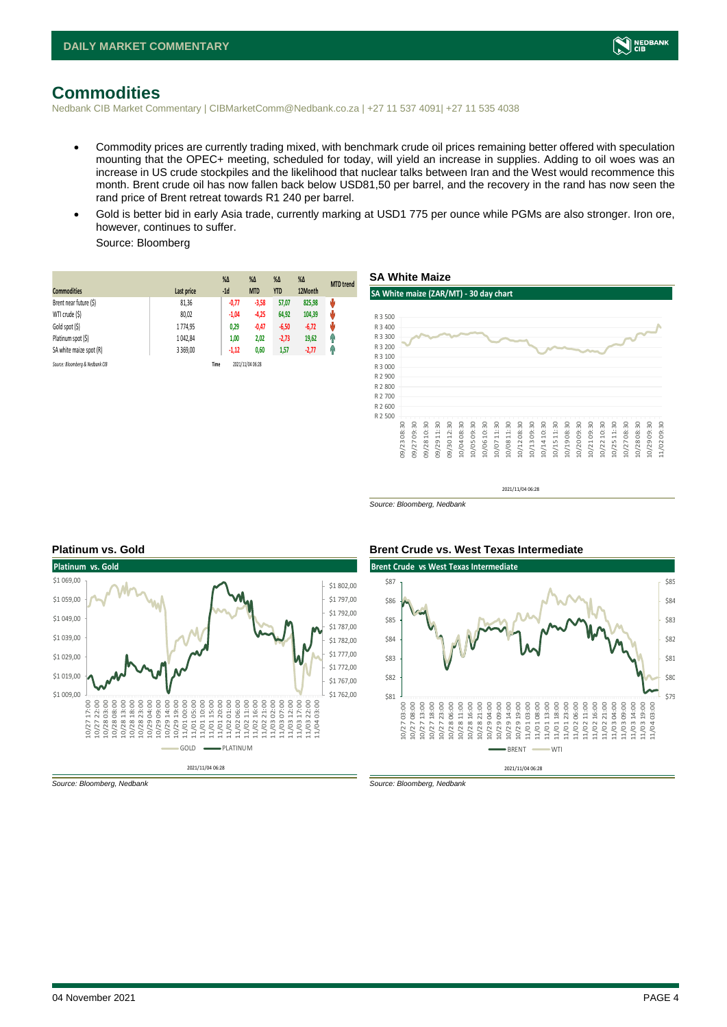

### <span id="page-3-0"></span>**Commodities**

Nedbank CIB Market Commentary | CIBMarketComm@Nedbank.co.za | +27 11 537 4091| +27 11 535 4038

- Commodity prices are currently trading mixed, with benchmark crude oil prices remaining better offered with speculation mounting that the OPEC+ meeting, scheduled for today, will yield an increase in supplies. Adding to oil woes was an increase in US crude stockpiles and the likelihood that nuclear talks between Iran and the West would recommence this month. Brent crude oil has now fallen back below USD81,50 per barrel, and the recovery in the rand has now seen the rand price of Brent retreat towards R1 240 per barrel.
- Gold is better bid in early Asia trade, currently marking at USD1 775 per ounce while PGMs are also stronger. Iron ore, however, continues to suffer.

Source: Bloomberg

| <b>Commodities</b>              | Last price | $%$ $\Delta$<br>$-1d$ | $\%$ $\Delta$<br><b>MTD</b> | $%$ $\Delta$<br><b>YTD</b> | $\%$ $\Delta$<br>12Month | <b>MTD</b> trend |
|---------------------------------|------------|-----------------------|-----------------------------|----------------------------|--------------------------|------------------|
| Brent near future (\$)          | 81,36      | $-0,77$               | $-3,58$                     | 57,07                      | 825,98                   | v                |
| WTI crude (\$)                  | 80,02      | $-1,04$               | $-4,25$                     | 64,92                      | 104,39                   | ψ                |
| Gold spot (\$)                  | 1774.95    | 0,29                  | $-0,47$                     | $-6,50$                    | $-6,72$                  | ŵ                |
| Platinum spot (\$)              | 1 042,84   | 1,00                  | 2,02                        | $-2,73$                    | 19,62                    | Ĥ                |
| SA white maize spot (R)         | 3 3 6 9,00 | $-1,12$               | 0,60                        | 1,57                       | $-2,77$                  | Ŧ                |
| Source: Bloomberg & Nedbank CIB |            | Time                  | 2021/11/04 06:28            |                            |                          |                  |





2021/11/04 06:28

*Source: Bloomberg, Nedbank*

**Brent Crude vs West Texas Intermediate** 



\$87



*Source: Bloomberg, Nedbank Source: Bloomberg, Nedbank*

#### **Platinum vs. Gold Brent Crude vs. West Texas Intermediate**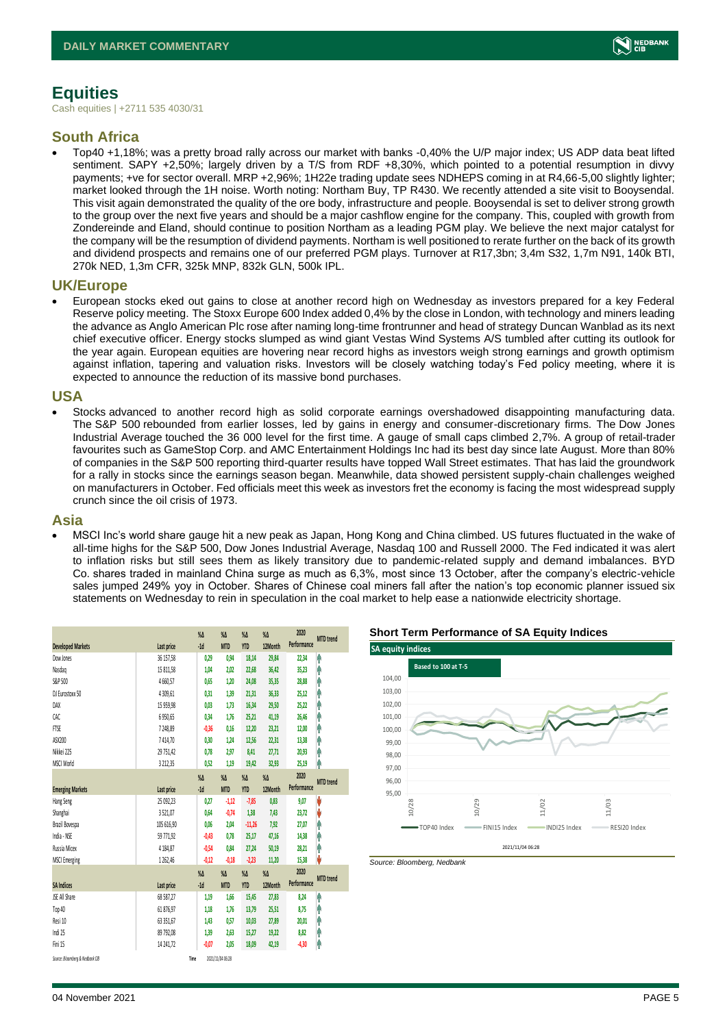

## <span id="page-4-0"></span>**Equities**

Cash equities | +2711 535 4030/31

#### **South Africa**

• Top40 +1,18%; was a pretty broad rally across our market with banks -0,40% the U/P major index; US ADP data beat lifted sentiment. SAPY +2,50%; largely driven by a T/S from RDF +8,30%, which pointed to a potential resumption in divvy payments; +ve for sector overall. MRP +2,96%; 1H22e trading update sees NDHEPS coming in at R4,66-5,00 slightly lighter; market looked through the 1H noise. Worth noting: Northam Buy, TP R430. We recently attended a site visit to Booysendal. This visit again demonstrated the quality of the ore body, infrastructure and people. Booysendal is set to deliver strong growth to the group over the next five years and should be a major cashflow engine for the company. This, coupled with growth from Zondereinde and Eland, should continue to position Northam as a leading PGM play. We believe the next major catalyst for the company will be the resumption of dividend payments. Northam is well positioned to rerate further on the back of its growth and dividend prospects and remains one of our preferred PGM plays. Turnover at R17,3bn; 3,4m S32, 1,7m N91, 140k BTI, 270k NED, 1,3m CFR, 325k MNP, 832k GLN, 500k IPL.

#### **UK/Europe**

• European stocks eked out gains to close at another record high on Wednesday as investors prepared for a key Federal Reserve policy meeting. The Stoxx Europe 600 Index added 0,4% by the close in London, with technology and miners leading the advance as Anglo American Plc rose after naming long-time frontrunner and head of strategy Duncan Wanblad as its next chief executive officer. Energy stocks slumped as wind giant Vestas Wind Systems A/S tumbled after cutting its outlook for the year again. European equities are hovering near record highs as investors weigh strong earnings and growth optimism against inflation, tapering and valuation risks. Investors will be closely watching today's Fed policy meeting, where it is expected to announce the reduction of its massive bond purchases.

#### **USA**

• Stocks advanced to another record high as solid corporate earnings overshadowed disappointing manufacturing data. The S&P 500 rebounded from earlier losses, led by gains in energy and consumer-discretionary firms. The Dow Jones Industrial Average touched the 36 000 level for the first time. A gauge of small caps climbed 2,7%. A group of retail-trader favourites such as GameStop Corp. and AMC Entertainment Holdings Inc had its best day since late August. More than 80% of companies in the S&P 500 reporting third-quarter results have topped Wall Street estimates. That has laid the groundwork for a rally in stocks since the earnings season began. Meanwhile, data showed persistent supply-chain challenges weighed on manufacturers in October. Fed officials meet this week as investors fret the economy is facing the most widespread supply crunch since the oil crisis of 1973.

#### **Asia**

• MSCI Inc's world share gauge hit a new peak as Japan, Hong Kong and China climbed. US futures fluctuated in the wake of all-time highs for the S&P 500, Dow Jones Industrial Average, Nasdaq 100 and Russell 2000. The Fed indicated it was alert to inflation risks but still sees them as likely transitory due to pandemic-related supply and demand imbalances. BYD Co. shares traded in mainland China surge as much as 6,3%, most since 13 October, after the company's electric-vehicle sales jumped 249% yoy in October. Shares of Chinese coal miners fall after the nation's top economic planner issued six statements on Wednesday to rein in speculation in the coal market to help ease a nationwide electricity shortage.

|                                 |               | $\%$ $\Delta$ | $\%$ $\Delta$    | $\%$ $\Delta$ | $\%$ $\Delta$ | 2020<br>Performance | <b>MTD</b> trend |
|---------------------------------|---------------|---------------|------------------|---------------|---------------|---------------------|------------------|
| <b>Developed Markets</b>        | Last price    | $-1d$         | <b>MTD</b>       | <b>YTD</b>    | 12Month       |                     |                  |
| Dow Jones                       | 36 157,58     | 0,29          | 0,94             | 18,14         | 29,84         | 22,34               | φ                |
| Nasdao                          | 15 811,58     | 1,04          | 2.02             | 22,68         | 36,42         | 35,23               | Λ                |
| S&P 500                         | 4660,57       | 0,65          | 1,20             | 24,08         | 35,35         | 28,88               | Α                |
| DJ Eurostoxx 50                 | 4 309.61      | 0.31          | 1,39             | 21,31         | 36,33         | 25,12               | Λ                |
| DAX                             | 15 959,98     | 0,03          | 1.73             | 16,34         | 29,50         | 25,22               | Λ                |
| CAC                             | 6950,65       | 0,34          | 1,76             | 25,21         | 41,19         | 26,46               | Λ                |
| <b>FTSE</b>                     | 7248,89       | $-0,36$       | 0.16             | 12,20         | 23,21         | 12,00               | Ą                |
| ASX200                          | 7414,70       | 0.30          | 1.24             | 12,56         | 22,31         | 13,38               | ٨                |
| Nikkei 225                      | 29 751,42     | 0,78          | 2,97             | 8,41          | 27,71         | 20,93               | Λ                |
| MSCI World                      | 3 2 1 2 , 3 5 | 0,52          | 1,19             | 19,42         | 32,93         | 25,19               | ٨                |
|                                 |               | $\%$ $\Delta$ | $\%$ $\Delta$    | $\%$ $\Delta$ | $\%$ $\Delta$ | 2020                | <b>MTD</b> trend |
| <b>Emerging Markets</b>         | Last price    | $-1d$         | <b>MTD</b>       | <b>YTD</b>    | 12Month       | Performance         |                  |
| Hang Seng                       | 25 092,23     | 0,27          | $-1,12$          | $-7,85$       | 0,83          | 9,07                | V                |
| Shanghai                        | 3521,07       | 0,64          | $-0,74$          | 1,38          | 7,43          | 23,72               | V                |
| Brazil Bovespa                  | 105 616,90    | 0,06          | 2,04             | $-11,26$      | 7,92          | 27,07               | A                |
| India - NSE                     | 59 771,92     | $-0.43$       | 0.78             | 25,17         | 47,16         | 14,38               | ٨                |
| Russia Micex                    | 4 184,87      | $-0.54$       | 0.84             | 27,24         | 50,19         | 28,21               | Λ                |
| <b>MSCI Emerging</b>            | 1262.46       | $-0.12$       | $-0.18$          | $-2,23$       | 11,20         | 15,38               | V                |
|                                 |               | $\%$ $\Delta$ | $\%$ $\Delta$    | $\%$ $\Delta$ | $\%$ $\Delta$ | 2020                | <b>MTD</b> trend |
| <b>SA Indices</b>               | Last price    | $-1d$         | <b>MTD</b>       | <b>YTD</b>    | 12Month       | Performance         |                  |
| JSE All Share                   | 68 587,27     | 1,19          | 1,66             | 15,45         | 27,83         | 8,24                | ٨                |
| Top 40                          | 61 876,97     | 1,18          | 1,76             | 13,79         | 25,51         | 8,75                | ٨                |
| Resi 10                         | 63 351,67     | 1,43          | 0,57             | 10,03         | 27,89         | 20,01               | A                |
| Indi 25                         | 89 792,08     | 1,39          | 2.63             | 15,27         | 19,22         | 8,82                | Ą                |
| Fini 15                         | 14 24 1.72    | $-0.07$       | 2.05             | 18,09         | 42,19         | $-4,30$             | î                |
| Source: Bloomberg & Nedbank CIB |               | Time          | 2021/11/04 06:28 |               |               |                     |                  |

#### **Short Term Performance of SA Equity Indices**



*Source: Bloomberg, Nedbank*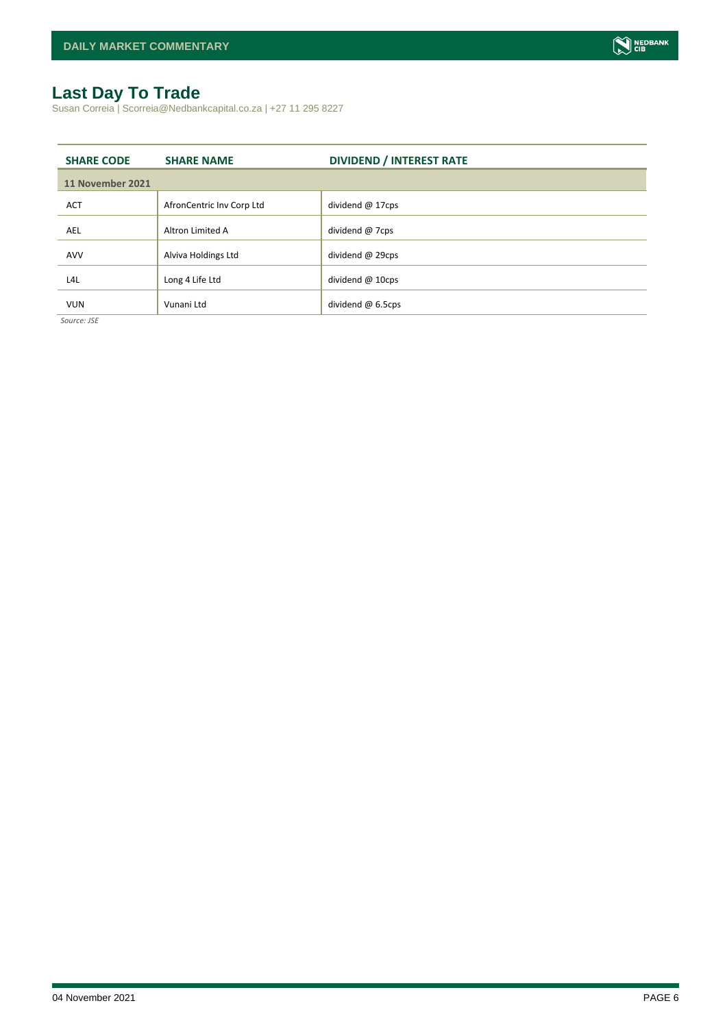## <span id="page-5-0"></span>**Last Day To Trade**

Susan Correia | Scorreia@Nedbankcapital.co.za | +27 11 295 8227

| <b>SHARE CODE</b>                  | <b>SHARE NAME</b>         | <b>DIVIDEND / INTEREST RATE</b> |
|------------------------------------|---------------------------|---------------------------------|
| 11 November 2021                   |                           |                                 |
| <b>ACT</b>                         | AfronCentric Inv Corp Ltd | dividend $@$ 17cps              |
| <b>AEL</b>                         | Altron Limited A          | dividend @ 7cps                 |
| AVV                                | Alviva Holdings Ltd       | dividend @ 29cps                |
| L4L                                | Long 4 Life Ltd           | dividend $@$ 10cps              |
| <b>VUN</b><br>$\sim$ $\sim$ $\sim$ | Vunani Ltd                | dividend @ 6.5cps               |

*Source: JSE*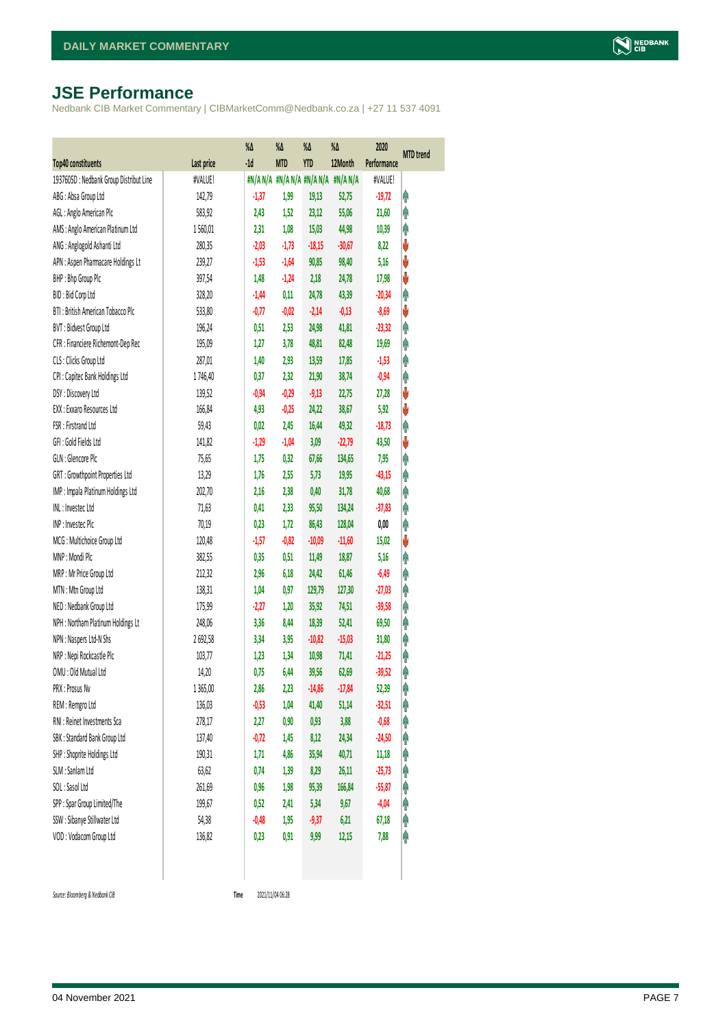## <span id="page-6-0"></span>**JSE Performance**

Nedbank CIB Market Commentary | CIBMarketComm@Nedbank.co.za | +27 11 537 4091

|                                        |            | $\%$ $\Delta$ | %Δ         | %Δ         | %Δ                              | 2020        | <b>MTD</b> trend |
|----------------------------------------|------------|---------------|------------|------------|---------------------------------|-------------|------------------|
| Top40 constituents                     | Last price | $-1d$         | <b>MTD</b> | <b>YTD</b> | 12Month                         | Performance |                  |
| 1937605D: Nedbank Group Distribut Line | #VALUE!    |               |            |            | #N/AN/A #N/AN/A #N/AN/A #N/AN/A | #VALUE!     |                  |
| ABG: Absa Group Ltd                    | 142,79     | $-1,37$       | 1,99       | 19,13      | 52,75                           | $-19,72$    | φ                |
| AGL: Anglo American Plc                | 583,92     | 2,43          | 1,52       | 23,12      | 55,06                           | 21,60       | φ                |
| AMS: Anglo American Platinum Ltd       | 1560,01    | 2,31          | 1,08       | 15,03      | 44,98                           | 10,39       | φ                |
| ANG: Anglogold Ashanti Ltd             | 280,35     | $-2,03$       | $-1,73$    | $-18,15$   | $-30,67$                        | 8,22        | V                |
| APN : Aspen Pharmacare Holdings Lt     | 239,27     | $-1,53$       | $-1,64$    | 90,85      | 98,40                           | 5,16        | V                |
| BHP: Bhp Group Plc                     | 397,54     | 1,48          | $-1,24$    | 2,18       | 24,78                           | 17,98       | ψ                |
| BID: Bid Corp Ltd                      | 328,20     | $-1,44$       | 0,11       | 24,78      | 43,39                           | $-20,34$    | φ                |
| BTI: British American Tobacco Plc      | 533,80     | $-0,77$       | $-0,02$    | $-2,14$    | $-0,13$                         | $-8,69$     | ♦                |
| BVT: Bidvest Group Ltd                 | 196,24     | 0,51          | 2,53       | 24,98      | 41,81                           | $-23,32$    | Ą                |
| CFR : Financiere Richemont-Dep Rec     | 195,09     | 1,27          | 3,78       | 48,81      | 82,48                           | 19,69       | φ                |
| CLS : Clicks Group Ltd                 | 287,01     | 1,40          | 2,93       | 13,59      | 17,85                           | $-1,53$     | φ                |
| CPI : Capitec Bank Holdings Ltd        | 1746,40    | 0,37          | 2,32       | 21,90      | 38,74                           | $-0,94$     | φ                |
| DSY: Discovery Ltd                     | 139,52     | $-0,94$       | $-0,29$    | $-9,13$    | 22,75                           | 27,28       | V                |
| EXX: Exxaro Resources Ltd              | 166,84     | 4,93          | $-0,25$    | 24,22      | 38,67                           | 5,92        | ψ                |
| FSR: Firstrand Ltd                     | 59,43      | 0,02          | 2,45       | 16,44      | 49,32                           | $-18,73$    | φ                |
| GFI: Gold Fields Ltd                   | 141,82     | $-1,29$       | $-1,04$    | 3,09       | $-22,79$                        | 43,50       | ψ                |
| GLN : Glencore Plc                     | 75,65      | 1,75          | 0,32       | 67,66      | 134,65                          | 7,95        | φ                |
| GRT : Growthpoint Properties Ltd       | 13,29      | 1,76          | 2,55       | 5,73       | 19,95                           | $-43,15$    | φ                |
| IMP : Impala Platinum Holdings Ltd     | 202,70     | 2,16          | 2,38       | 0,40       | 31,78                           | 40,68       | Λ                |
| INL: Investec Ltd                      | 71,63      | 0,41          | 2,33       | 95,50      | 134,24                          | $-37,83$    | φ                |
| INP: Invested Plc                      | 70,19      | 0,23          | 1,72       | 86,43      | 128,04                          | 0,00        | φ                |
| MCG: Multichoice Group Ltd             | 120,48     | $-1,57$       | $-0,82$    | $-10,09$   | $-11,60$                        | 15,02       | ψ                |
| MNP: Mondi Plc                         | 382,55     | 0,35          | 0,51       | 11,49      | 18,87                           | 5,16        | φ                |
| MRP : Mr Price Group Ltd               | 212,32     | 2,96          | 6,18       | 24,42      | 61,46                           | $-6,49$     | φ                |
| MTN: Mtn Group Ltd                     | 138,31     | 1,04          | 0,97       | 129,79     | 127,30                          | $-27,03$    | φ                |
| NED : Nedbank Group Ltd                | 175,99     | $-2,27$       | 1,20       | 35,92      | 74,51                           | $-39,58$    | φ                |
| NPH : Northam Platinum Holdings Lt     | 248,06     | 3,36          | 8,44       | 18,39      | 52,41                           | 69,50       | φ                |
| NPN: Naspers Ltd-N Shs                 | 2692,58    | 3,34          | 3,95       | $-10,82$   | $-15,03$                        | 31,80       | φ                |
| NRP : Nepi Rockcastle Plc              | 103,77     | 1,23          | 1,34       | 10,98      | 71,41                           | $-21,25$    | φ                |
| OMU: Old Mutual Ltd                    | 14,20      | 0,75          | 6,44       | 39,56      | 62,69                           | $-39,52$    | φ                |
| PRX : Prosus Nv                        | 1 3 65,00  | 2,86          | 2,23       | $-14,86$   | $-17,84$                        | 52,39       | Ĥ                |
| REM : Remgro Ltd                       | 136,03     | $-0,53$       | 1,04       | 41,40      | 51,14                           | $-32,51$    | φ                |
| RNI : Reinet Investments Sca           | 278,17     | 2,27          | 0,90       | 0,93       | 3,88                            | $-0,68$     | Ĥ                |
| SBK: Standard Bank Group Ltd           | 137,40     | $-0,72$       | 1,45       | 8,12       | 24,34                           | $-24,50$    | φ                |
| SHP: Shoprite Holdings Ltd             | 190,31     | 1,71          | 4,86       | 35,94      | 40,71                           | 11,18       | Ĥ                |
| SLM : Sanlam Ltd                       | 63,62      | 0,74          | 1,39       | 8,29       | 26,11                           | $-25,73$    | φ                |
| SOL: Sasol Ltd                         | 261,69     | 0,96          | 1,98       | 95,39      | 166,84                          | $-55,87$    | Ĥ                |
| SPP: Spar Group Limited/The            | 199,67     | 0,52          | 2,41       | 5,34       | 9,67                            | $-4,04$     | φ                |
| SSW : Sibanye Stillwater Ltd           | 54,38      | $-0,48$       | 1,95       | $-9,37$    | 6,21                            | 67,18       | φ                |
| VOD: Vodacom Group Ltd                 | 136,82     | 0,23          | 0,91       | 9,99       | 12,15                           | 7,88        | φ                |
|                                        |            |               |            |            |                                 |             |                  |

 $Source: Bloomberg & Nedbank *CB*$ 

Time 2021/11/04 06:28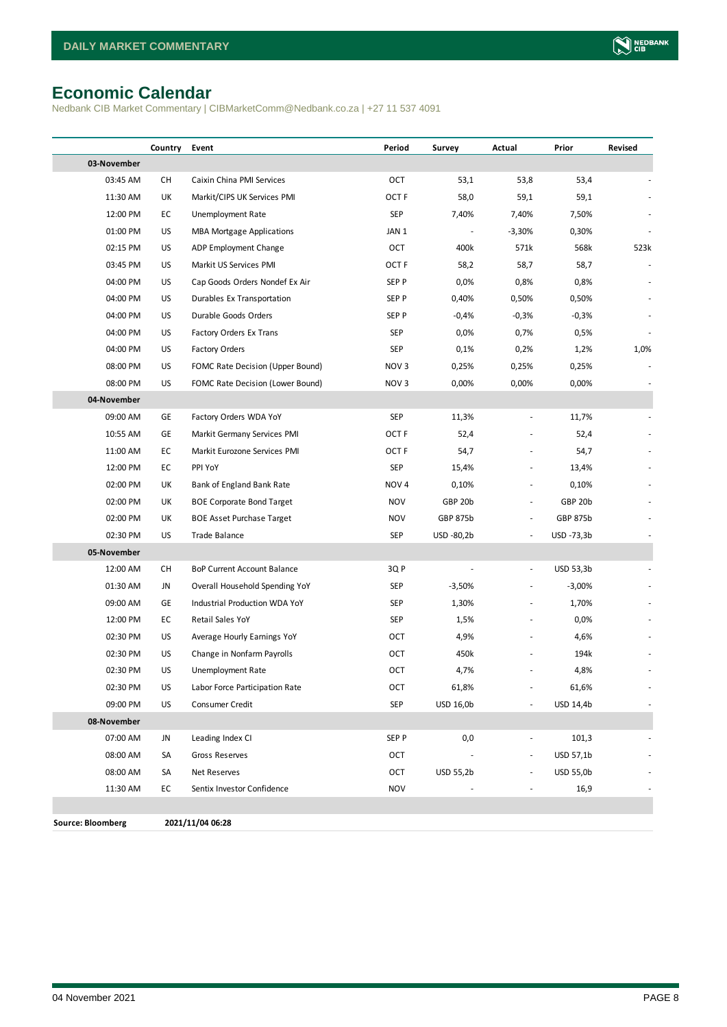## <span id="page-7-0"></span>**Economic Calendar**

Nedbank CIB Market Commentary | CIBMarketComm@Nedbank.co.za | +27 11 537 4091

|                          | Country | Event                              | Period           | Survey           | Actual                   | Prior            | Revised |
|--------------------------|---------|------------------------------------|------------------|------------------|--------------------------|------------------|---------|
| 03-November              |         |                                    |                  |                  |                          |                  |         |
| 03:45 AM                 | СH      | Caixin China PMI Services          | OCT              | 53,1             | 53,8                     | 53,4             |         |
| 11:30 AM                 | UK      | Markit/CIPS UK Services PMI        | OCT <sub>F</sub> | 58,0             | 59,1                     | 59,1             |         |
| 12:00 PM                 | EC      | Unemployment Rate                  | <b>SEP</b>       | 7,40%            | 7,40%                    | 7,50%            |         |
| 01:00 PM                 | US      | <b>MBA Mortgage Applications</b>   | JAN 1            |                  | $-3,30%$                 | 0,30%            |         |
| 02:15 PM                 | US      | ADP Employment Change              | OCT              | 400k             | 571k                     | 568k             | 523k    |
| 03:45 PM                 | US      | Markit US Services PMI             | OCT F            | 58,2             | 58,7                     | 58,7             |         |
| 04:00 PM                 | US      | Cap Goods Orders Nondef Ex Air     | SEP P            | 0,0%             | 0,8%                     | 0,8%             |         |
| 04:00 PM                 | US      | Durables Ex Transportation         | SEP P            | 0,40%            | 0,50%                    | 0,50%            |         |
| 04:00 PM                 | US      | Durable Goods Orders               | SEP P            | $-0,4%$          | $-0,3%$                  | $-0,3%$          |         |
| 04:00 PM                 | US      | Factory Orders Ex Trans            | SEP              | 0,0%             | 0,7%                     | 0,5%             |         |
| 04:00 PM                 | US      | <b>Factory Orders</b>              | <b>SEP</b>       | 0,1%             | 0,2%                     | 1,2%             | 1,0%    |
| 08:00 PM                 | US      | FOMC Rate Decision (Upper Bound)   | NOV <sub>3</sub> | 0,25%            | 0,25%                    | 0,25%            |         |
| 08:00 PM                 | US      | FOMC Rate Decision (Lower Bound)   | NOV <sub>3</sub> | 0,00%            | 0,00%                    | 0,00%            |         |
| 04-November              |         |                                    |                  |                  |                          |                  |         |
| 09:00 AM                 | GE      | Factory Orders WDA YoY             | <b>SEP</b>       | 11,3%            | $\frac{1}{2}$            | 11,7%            |         |
| 10:55 AM                 | GE      | Markit Germany Services PMI        | OCT <sub>F</sub> | 52,4             |                          | 52,4             |         |
| 11:00 AM                 | EC      | Markit Eurozone Services PMI       | OCT F            | 54,7             |                          | 54,7             |         |
| 12:00 PM                 | EC      | PPI YoY                            | SEP              | 15,4%            |                          | 13,4%            |         |
| 02:00 PM                 | UK      | Bank of England Bank Rate          | NOV <sub>4</sub> | 0,10%            | $\overline{a}$           | 0,10%            |         |
| 02:00 PM                 | UK      | <b>BOE Corporate Bond Target</b>   | <b>NOV</b>       | GBP 20b          | $\overline{a}$           | GBP 20b          |         |
| 02:00 PM                 | UK      | <b>BOE Asset Purchase Target</b>   | <b>NOV</b>       | GBP 875b         | $\frac{1}{2}$            | <b>GBP 875b</b>  |         |
| 02:30 PM                 | US      | <b>Trade Balance</b>               | <b>SEP</b>       | USD -80,2b       |                          | USD -73,3b       |         |
| 05-November              |         |                                    |                  |                  |                          |                  |         |
| 12:00 AM                 | СH      | <b>BoP Current Account Balance</b> | 3QP              |                  | $\overline{\phantom{a}}$ | USD 53,3b        |         |
| 01:30 AM                 | JN      | Overall Household Spending YoY     | SEP              | $-3,50%$         |                          | $-3,00%$         |         |
| 09:00 AM                 | GE      | Industrial Production WDA YoY      | SEP              | 1,30%            |                          | 1,70%            |         |
| 12:00 PM                 | EC      | Retail Sales YoY                   | SEP              | 1,5%             |                          | 0,0%             |         |
| 02:30 PM                 | US      | Average Hourly Earnings YoY        | OCT              | 4,9%             |                          | 4,6%             |         |
| 02:30 PM                 | US      | Change in Nonfarm Payrolls         | OCT              | 450k             |                          | 194k             |         |
| 02:30 PM                 | US      | Unemployment Rate                  | OCT              | 4,7%             |                          | 4,8%             |         |
| 02:30 PM                 | US      | Labor Force Participation Rate     | OCT              | 61,8%            |                          | 61,6%            |         |
| 09:00 PM                 | US      | Consumer Credit                    | <b>SEP</b>       | USD 16,0b        |                          | USD 14,4b        |         |
| 08-November              |         |                                    |                  |                  |                          |                  |         |
| 07:00 AM                 | JN      | Leading Index CI                   | SEP P            | 0,0              | $\overline{\phantom{a}}$ | 101,3            |         |
| 08:00 AM                 | SA      | Gross Reserves                     | OCT              |                  | $\overline{\phantom{a}}$ | USD 57,1b        |         |
| 08:00 AM                 | SA      | Net Reserves                       | OCT              | <b>USD 55,2b</b> |                          | <b>USD 55,0b</b> |         |
| 11:30 AM                 | EC      | Sentix Investor Confidence         | <b>NOV</b>       |                  | $\frac{1}{2}$            | 16,9             |         |
|                          |         |                                    |                  |                  |                          |                  |         |
| <b>Source: Bloomberg</b> |         | 2021/11/04 06:28                   |                  |                  |                          |                  |         |